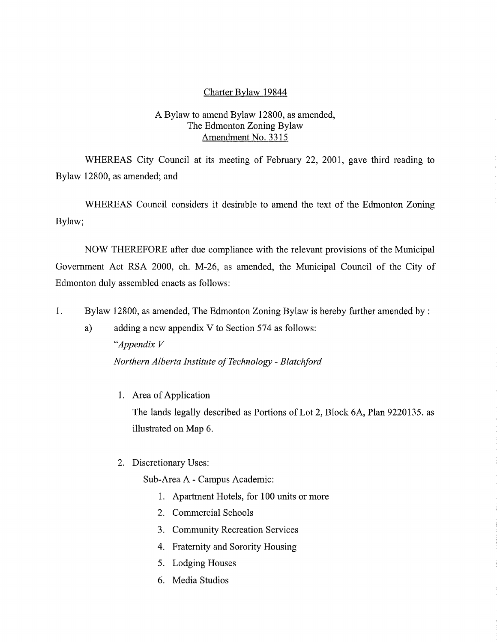## Charter Bylaw 19844

# A Bylaw to amend Bylaw 12800, as amended, The Edmonton Zoning Bylaw Amendment No. 3315

WHEREAS City Council at its meeting of February 22, 2001, gave third reading to Bylaw 12800, as amended; and

WHEREAS Council considers it desirable to amend the text of the Edmonton Zoning Bylaw;

NOW THEREFORE after due compliance with the relevant provisions of the Municipal Government Act RSA 2000, ch. M-26, as amended, the Municipal Council of the City of Edmonton duly assembled enacts as follows:

1. Bylaw 12800, as amended, The Edmonton Zoning Bylaw is hereby further amended by:

a) adding a new appendix V to Section 574 as follows: *"Appendix V Northern Alberta Institute of Technology - Blatchford* 

1. Area of Application

The lands legally described as Portions of Lot 2, Block 6A, Plan 9220135. as illustrated on Map 6.

2. Discretionary Uses:

Sub-Area A - Campus Academic:

- 1. Apartment Hotels, for 100 units or more
- 2. Commercial Schools
- 3. Community Recreation Services
- 4. Fraternity and Sorority Housing
- 5. Lodging Houses
- 6. Media Studios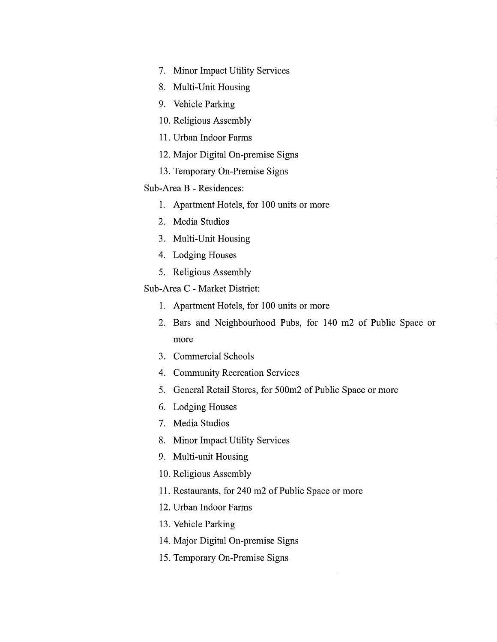- 7. Minor Impact Utility Services
- 8, Multi-Unit Housing
- 9. Vehicle Parking
- 10.Religious Assembly
- 11.Urban Indoor Farms
- 12.Major Digital On-premise Signs
- 13.Temporary On-Premise Signs

# Sub-Area B - Residences:

- 1. Apartment Hotels, for 100 units or more
- 2. Media Studios
- 3. Multi-Unit Housing
- 4. Lodging Houses
- 5. Religious Assembly

#### Sub-Area C - Market District:

- 1. Apartment Hotels, for 100 units or more
- 2. Bars and Neighbourhood Pubs, for 140 m2 of Public Space or more
- 3. Commercial Schools
- 4. Community Recreation Services
- 5. General Retail Stores, for 500m2 of Public Space or more
- 6. Lodging Houses
- 7. Media Studios
- 8. Minor Impact Utility Services
- 9. Multi-unit Housing
- 10.Religious Assembly
- 11.Restaurants, for 240 m2 of Public Space or more
- 12.Urban Indoor Farms
- 13.Vehicle Parking
- 14.Major Digital On-premise Signs
- 15.Temporary On-Premise Signs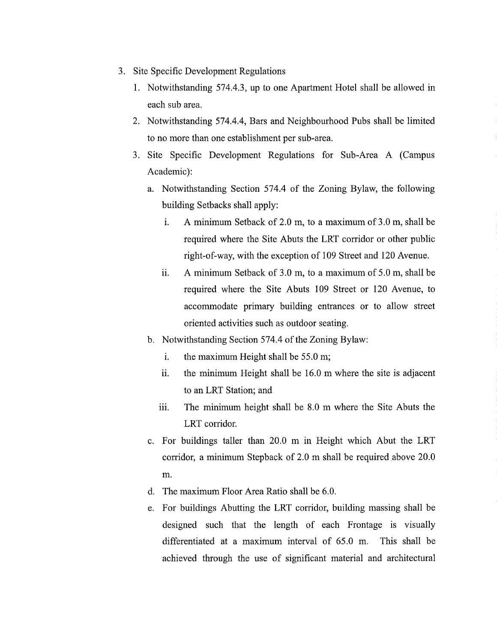- 3. Site Specific Development Regulations
	- 1. Notwithstanding 574.4.3, up to one Apartment Hotel shall be allowed in each sub area.
	- 2. Notwithstanding 574.4.4, Bars and Neighbourhood Pubs shall be limited to no more than one establishment per sub-area.
	- 3. Site Specific Development Regulations for Sub-Area A (Campus Academic):
		- a. Notwithstanding Section 574.4 of the Zoning Bylaw, the following building Setbacks shall apply:
			- i. A minimum Setback of 2.0 m, to a maximum of 3.0 m, shall be required where the Site Abuts the LRT corridor or other public right-of-way, with the exception of 109 Street and 120 Avenue.
			- A minimum Setback of 3.0 m, to a maximum of 5.0 m, shall be ii. required where the Site Abuts 109 Street or 120 Avenue, to accommodate primary building entrances or to allow street oriented activities such as outdoor seating.
		- b. Notwithstanding Section 574.4 of the Zoning Bylaw:
			- i. the maximum Height shall be 55.0 m;
			- ii. the minimum Height shall be 16.0 m where the site is adjacent to an LRT Station; and
			- iii. The minimum height shall be 8.0 m where the Site Abuts the LRT corridor.
		- c. For buildings taller than 20.0 m in Height which Abut the LRT corridor, a minimum Stepback of 2.0 m shall be required above 20.0 m.
		- d. The maximum Floor Area Ratio shall be 6.0.
		- e. For buildings Abutting the LRT corridor, building massing shall be designed such that the length of each Frontage is visually differentiated at a maximum interval of 65.0 m. This shall be achieved through the use of significant material and architectural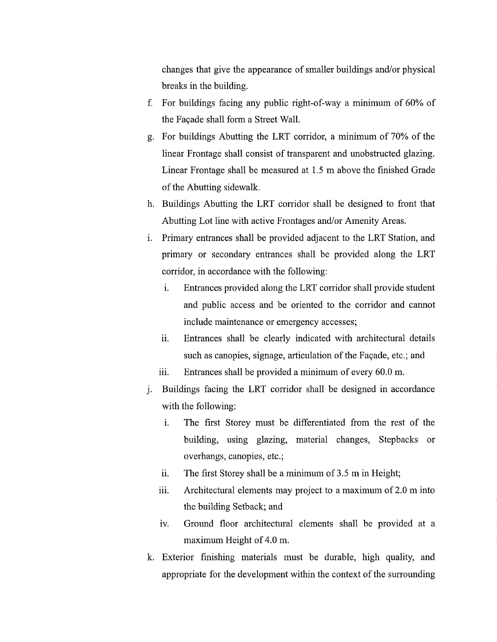changes that give the appearance of smaller buildings and/or physical breaks in the building.

- f. For buildings facing any public right-of-way a minimum of 60% of the Facade shall form a Street Wall.
- g. For buildings Abutting the LRT corridor, a minimum of 70% of the linear Frontage shall consist of transparent and unobstructed glazing. Linear Frontage shall be measured at 1.5 m above the finished Grade of the Abutting sidewalk.
- h. Buildings Abutting the LRT corridor shall be designed to front that Abutting Lot line with active Frontages and/or Amenity Areas.
- i. Primary entrances shall be provided adjacent to the LRT Station, and primary or secondary entrances shall be provided along the LRT corridor, in accordance with the following:
	- i. Entrances provided along the LRT corridor shall provide student and public access and be oriented to the corridor and cannot include maintenance or emergency accesses;
	- ii. Entrances shall be clearly indicated with architectural details such as canopies, signage, articulation of the Facade, etc.; and
	- iii. Entrances shall be provided a minimum of every  $60.0$  m.
- j. Buildings facing the LRT corridor shall be designed in accordance with the following:
	- i. The first Storey must be differentiated from the rest of the building, using glazing, material changes, Stepbacks or overhangs, canopies, etc.;
	- ii. The first Storey shall be a minimum of 3.5 m in Height;
	- iii. Architectural elements may project to a maximum of 2.0 m into the building Setback; and
	- iv. Ground floor architectural elements shall be provided at a maximum Height of 4.0 m.
- k. Exterior finishing materials must be durable, high quality, and appropriate for the development within the context of the surrounding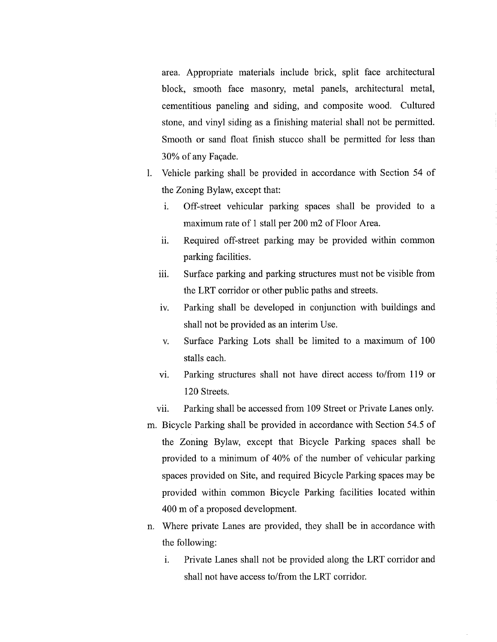area. Appropriate materials include brick, split face architectural block, smooth face masonry, metal panels, architectural metal, cementitious paneling and siding, and composite wood. Cultured stone, and vinyl siding as a finishing material shall not be permitted. Smooth or sand float finish stucco shall be permitted for less than 30% of any Facade.

- 1. Vehicle parking shall be provided in accordance with Section 54 of the Zoning Bylaw, except that:
	- i. Off-street vehicular parking spaces shall be provided to a maximum rate of 1 stall per 200 m2 of Floor Area.
	- ii. Required off-street parking may be provided within common parking facilities.
	- iii. Surface parking and parking structures must not be visible from the LRT corridor or other public paths and streets.
	- iv. Parking shall be developed in conjunction with buildings and shall not be provided as an interim Use.
	- v. Surface Parking Lots shall be limited to a maximum of 100 stalls each.
	- vi. Parking structures shall not have direct access to/from 119 or 120 Streets.
	- vii. Parking shall be accessed from 109 Street or Private Lanes only.
- m. Bicycle Parking shall be provided in accordance with Section 54.5 of the Zoning Bylaw, except that Bicycle Parking spaces shall be provided to a minimum of 40% of the number of vehicular parking spaces provided on Site, and required Bicycle Parking spaces may be provided within common Bicycle Parking facilities located within 400 m of a proposed development.
- n. Where private Lanes are provided, they shall be in accordance with the following:
	- i. Private Lanes shall not be provided along the LRT corridor and shall not have access to/from the LRT corridor.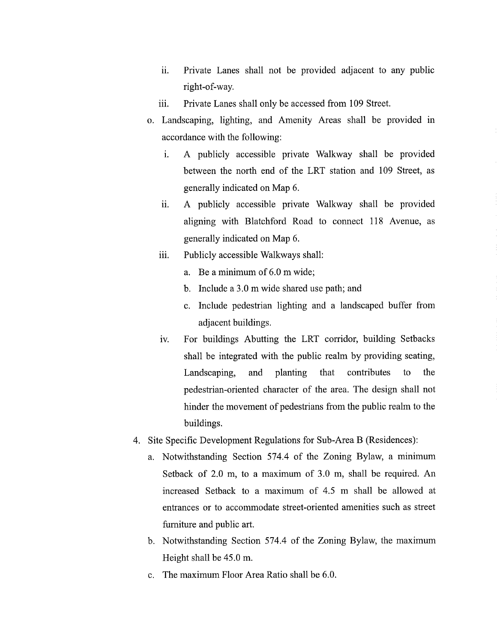- ii. Private Lanes shall not be provided adjacent to any public right-of-way.
- iii. Private Lanes shall only be accessed from 109 Street.
- o. Landscaping, lighting, and Amenity Areas shall be provided in accordance with the following:
	- i. A publicly accessible private Walkway shall be provided between the north end of the LRT station and 109 Street, as generally indicated on Map 6.
	- ii. A publicly accessible private Walkway shall be provided aligning with Blatchford Road to connect 118 Avenue, as generally indicated on Map 6.
	- iii. Publicly accessible Walkways shall:
		- a. Be a minimum of 6.0 m wide;
		- b. Include a 3.0 m wide shared use path; and
		- c. Include pedestrian lighting and a landscaped buffer from adjacent buildings.
	- iv. For buildings Abutting the LRT corridor, building Setbacks shall be integrated with the public realm by providing seating, Landscaping, and planting that contributes to the pedestrian-oriented character of the area. The design shall not hinder the movement of pedestrians from the public realm to the buildings.
- 4. Site Specific Development Regulations for Sub-Area B (Residences):
	- a. Notwithstanding Section 574.4 of the Zoning Bylaw, a minimum Setback of 2.0 m, to a maximum of 3.0 m, shall be required. An increased Setback to a maximum of 4.5 m shall be allowed at entrances or to accommodate street-oriented amenities such as street furniture and public art.
	- b. Notwithstanding Section 574.4 of the Zoning Bylaw, the maximum Height shall be 45.0 m.
	- c. The maximum Floor Area Ratio shall be 6.0.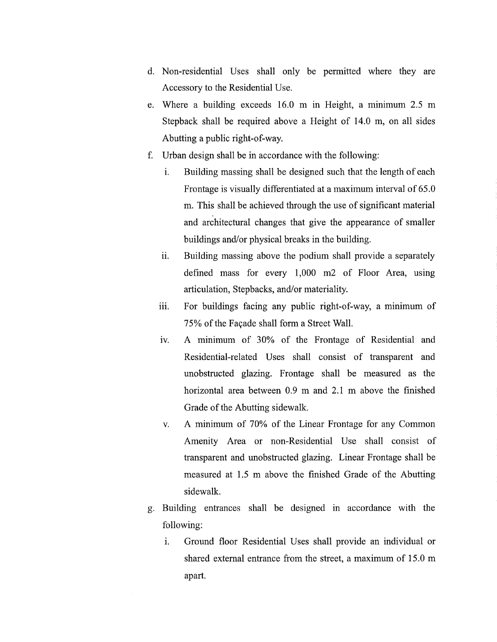- d. Non-residential Uses shall only be permitted where they are Accessory to the Residential Use.
- e. Where a building exceeds 16.0 m in Height, a minimum 2.5 m Stepback shall be required above a Height of 14.0 m, on all sides Abutting a public right-of-way.
- f. Urban design shall be in accordance with the following:
	- i. Building massing shall be designed such that the length of each Frontage is visually differentiated at a maximum interval of 65.0 m. This shall be achieved through the use of significant material and architectural changes that give the appearance of smaller buildings and/or physical breaks in the building.
	- ii. Building massing above the podium shall provide a separately defined mass for every 1,000 m2 of Floor Area, using articulation, Stepbacks, and/or materiality.
	- iii. For buildings facing any public right-of-way, a minimum of 75% of the Facade shall form a Street Wall.
	- iv. A minimum of 30% of the Frontage of Residential and Residential-related Uses shall consist of transparent and unobstructed glazing. Frontage shall be measured as the horizontal area between 0.9 m and 2.1 m above the finished Grade of the Abutting sidewalk.
	- v. A minimum of 70% of the Linear Frontage for any Common Amenity Area or non-Residential Use shall consist of transparent and unobstructed glazing. Linear Frontage shall be measured at 1.5 m above the finished Grade of the Abutting sidewalk.
- g. Building entrances shall be designed in accordance with the following:
	- i. Ground floor Residential Uses shall provide an individual or shared external entrance from the street, a maximum of 15.0 m apart.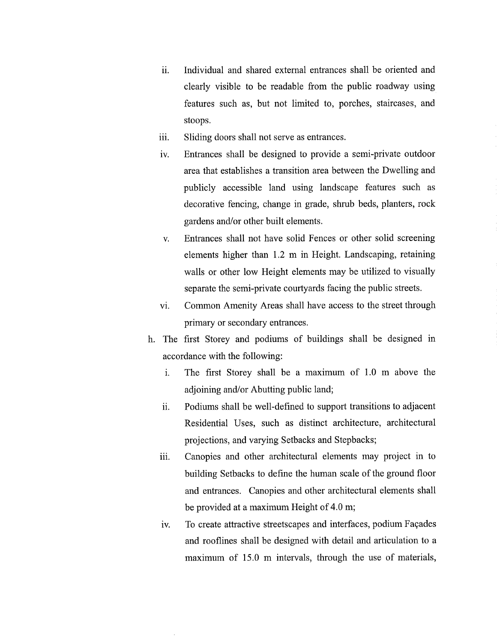- ii. Individual and shared external entrances shall be oriented and clearly visible to be readable from the public roadway using features such as, but not limited to, porches, staircases, and stoops.
- iii. Sliding doors shall not serve as entrances.
- iv. Entrances shall be designed to provide a semi-private outdoor area that establishes a transition area between the Dwelling and publicly accessible land using landscape features such as decorative fencing, change in grade, shrub beds, planters, rock gardens and/or other built elements.
- v. Entrances shall not have solid Fences or other solid screening elements higher than 1.2 m in Height. Landscaping, retaining walls or other low Height elements may be utilized to visually separate the semi-private courtyards facing the public streets.
- vi. Common Amenity Areas shall have access to the street through primary or secondary entrances.
- h. The first Storey and podiums of buildings shall be designed in accordance with the following:
	- i. The first Storey shall be a maximum of 1.0 m above the adjoining and/or Abutting public land;
	- Podiums shall be well-defined to support transitions to adjacent ii. Residential Uses, such as distinct architecture, architectural projections, and varying Setbacks and Stepbacks;
	- iii. Canopies and other architectural elements may project in to building Setbacks to define the human scale of the ground floor and entrances. Canopies and other architectural elements shall be provided at a maximum Height of 4.0 m;
	- iv. To create attractive streetscapes and interfaces, podium Façades and rooflines shall be designed with detail and articulation to a maximum of 15.0 m intervals, through the use of materials,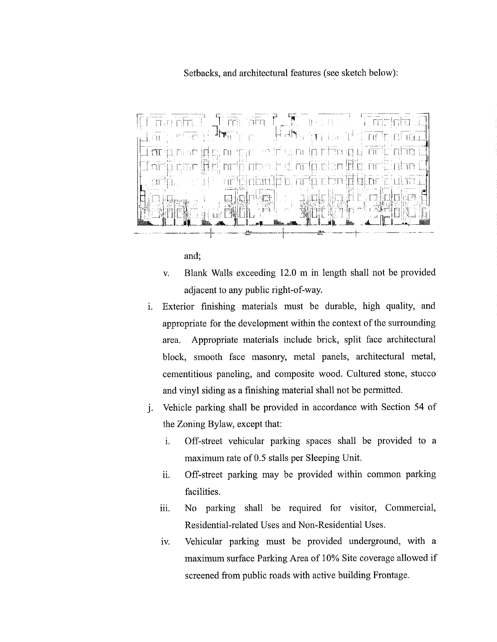## Setbacks, and architectural features (see sketch below):



and;

- v. Blank Walls exceeding 12.0 m in length shall not be provided adjacent to any public right-of-way.
- i. Exterior finishing materials must be durable, high quality, and appropriate for the development within the context of the surrounding area. Appropriate materials include brick, split face architectural block, smooth face masonry, metal panels, architectural metal, cementitious paneling, and composite wood. Cultured stone, stucco and vinyl siding as a finishing material shall not be permitted.
- j. Vehicle parking shall be provided in accordance with Section 54 of the Zoning Bylaw, except that:
	- i. Off-street vehicular parking spaces shall be provided to a maximum rate of 0.5 stalls per Sleeping Unit.
	- ii. Off-street parking may be provided within common parking facilities.
	- iii. No parking shall be required for visitor, Commercial, Residential-related Uses and Non-Residential Uses.
	- iv. Vehicular parking must be provided underground, with a maximum surface Parking Area of 10% Site coverage allowed if screened from public roads with active building Frontage.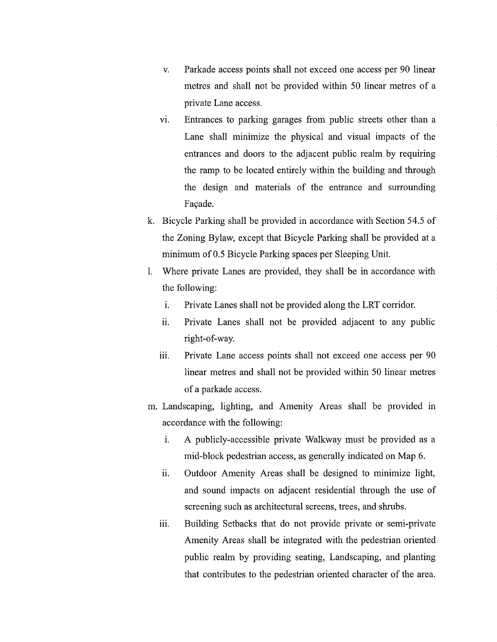- v. Parkade access points shall not exceed one access per 90 linear metres and shall not be provided within 50 linear metres of a private Lane access.
- vi. Entrances to parking garages from public streets other than a Lane shall minimize the physical and visual impacts of the entrances and doors to the adjacent public realm by requiring the ramp to be located entirely within the building and through the design and materials of the entrance and surrounding Façade.
- k. Bicycle Parking shall be provided in accordance with Section 54.5 of the Zoning Bylaw, except that Bicycle Parking shall be provided at a minimum of 0.5 Bicycle Parking spaces per Sleeping Unit.
- 1. Where private Lanes are provided, they shall be in accordance with the following:
	- i. Private Lanes shall not be provided along the LRT corridor.
	- ii. Private Lanes shall not be provided adjacent to any public right-of-way.
	- iii. Private Lane access points shall not exceed one access per 90 linear metres and shall not be provided within 50 linear metres of a parkade access.
- m. Landscaping, lighting, and Amenity Areas shall be provided in accordance with the following:
	- i. A publicly-accessible private Walkway must be provided as a mid-block pedestrian access, as generally indicated on Map 6.
	- ii. Outdoor Amenity Areas shall be designed to minimize light, and sound impacts on adjacent residential through the use of screening such as architectural screens, trees, and shrubs.
	- iii. Building Setbacks that do not provide private or semi-private Amenity Areas shall be integrated with the pedestrian oriented public realm by providing seating, Landscaping, and planting that contributes to the pedestrian oriented character of the area.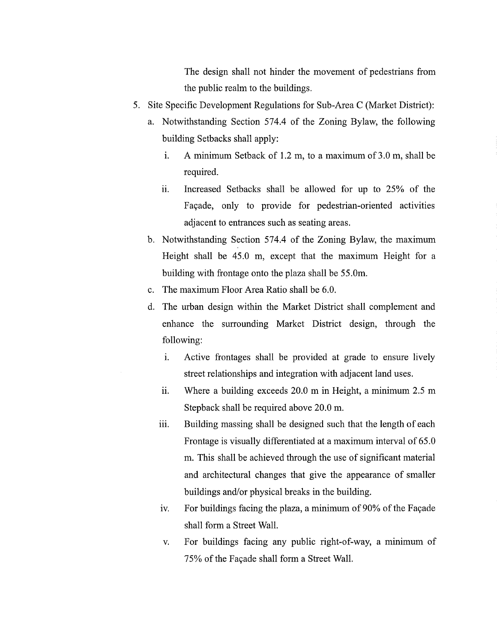The design shall not hinder the movement of pedestrians from the public realm to the buildings.

- 5. Site Specific Development Regulations for Sub-Area C (Market District):
	- a. Notwithstanding Section 574.4 of the Zoning Bylaw, the following building Setbacks shall apply:
		- i. A minimum Setback of 1.2 m, to a maximum of 3.0 m, shall be required.
		- ii. Increased Setbacks shall be allowed for up to 25% of the Facade, only to provide for pedestrian-oriented activities adjacent to entrances such as seating areas.
	- b. Notwithstanding Section 574.4 of the Zoning Bylaw, the maximum Height shall be 45.0 m, except that the maximum Height for a building with frontage onto the plaza shall be 55.0m.
	- c. The maximum Floor Area Ratio shall be 6.0.
	- d. The urban design within the Market District shall complement and enhance the surrounding Market District design, through the following:
		- i. Active frontages shall be provided at grade to ensure lively street relationships and integration with adjacent land uses.
		- ii. Where a building exceeds 20.0 m in Height, a minimum 2.5 m Stepback shall be required above 20.0 m.
		- iii. Building massing shall be designed such that the length of each Frontage is visually differentiated at a maximum interval of 65.0 m. This shall be achieved through the use of significant material and architectural changes that give the appearance of smaller buildings and/or physical breaks in the building.
		- iv. For buildings facing the plaza, a minimum of 90% of the Facade shall form a Street Wall.
		- v. For buildings facing any public right-of-way, a minimum of 75% of the Facade shall form a Street Wall.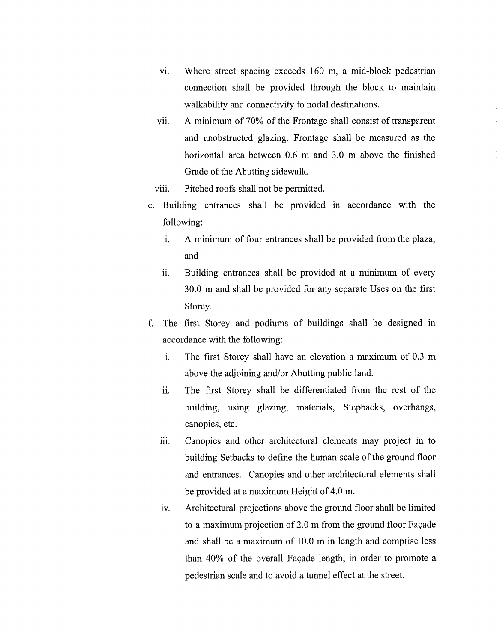- vi. Where street spacing exceeds 160 m, a mid-block pedestrian connection shall be provided through the block to maintain walkability and connectivity to nodal destinations.
- vii. A minimum of 70% of the Frontage shall consist of transparent and unobstructed glazing. Frontage shall be measured as the horizontal area between 0.6 m and 3.0 m above the finished Grade of the Abutting sidewalk.
- viii. Pitched roofs shall not be permitted.
- e. Building entrances shall be provided in accordance with the following:
	- i. A minimum of four entrances shall be provided from the plaza; and
	- ii. Building entrances shall be provided at a minimum of every 30.0 m and shall be provided for any separate Uses on the first Storey.
- f. The first Storey and podiums of buildings shall be designed in accordance with the following:
	- i. The first Storey shall have an elevation a maximum of 0.3 m above the adjoining and/or Abutting public land.
	- ii. The first Storey shall be differentiated from the rest of the building, using glazing, materials, Stepbacks, overhangs, canopies, etc.
	- iii. Canopies and other architectural elements may project in to building Setbacks to define the human scale of the ground floor and entrances. Canopies and other architectural elements shall be provided at a maximum Height of 4.0 m.
	- iv. Architectural projections above the ground floor shall be limited to a maximum projection of 2.0 m from the ground floor Façade and shall be a maximum of 10.0 m in length and comprise less than 40% of the overall Façade length, in order to promote a pedestrian scale and to avoid a tunnel effect at the street.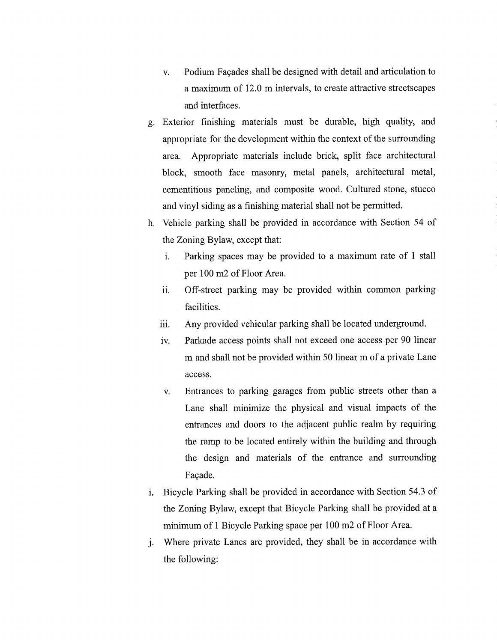- v. Podium Facades shall be designed with detail and articulation to a maximum of 12.0 m intervals, to create attractive streetscapes and interfaces.
- g. Exterior finishing materials must be durable, high quality, and appropriate for the development within the context of the surrounding area. Appropriate materials include brick, split face architectural block, smooth face masonry, metal panels, architectural metal, cementitious paneling, and composite wood. Cultured stone, stucco and vinyl siding as a finishing material shall not be permitted.
- h. Vehicle parking shall be provided in accordance with Section 54 of the Zoning Bylaw, except that:
	- i. Parking spaces may be provided to a maximum rate of 1 stall per 100 m2 of Floor Area.
	- ii. Off-street parking may be provided within common parking facilities.
	- iii. Any provided vehicular parking shall be located underground.
	- iv. Parkade access points shall not exceed one access per 90 linear m and shall not be provided within 50 linear m of a private Lane access.
	- v. Entrances to parking garages from public streets other than a Lane shall minimize the physical and visual impacts of the entrances and doors to the adjacent public realm by requiring the ramp to be located entirely within the building and through the design and materials of the entrance and surrounding Facade.
- i. Bicycle Parking shall be provided in accordance with Section 54.3 of the Zoning Bylaw, except that Bicycle Parking shall be provided at a minimum of 1 Bicycle Parking space per 100 m2 of Floor Area.
- j. Where private Lanes are provided, they shall be in accordance with the following: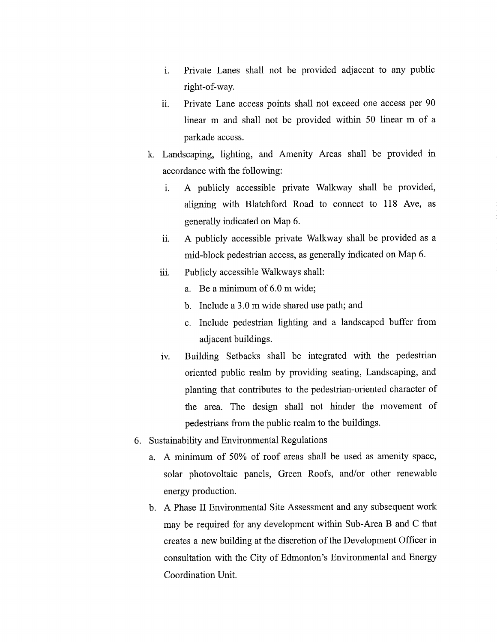- i. Private Lanes shall not be provided adjacent to any public right-of-way.
- ii. Private Lane access points shall not exceed one access per 90 linear m and shall not be provided within 50 linear m of a parkade access.
- k. Landscaping, lighting, and Amenity Areas shall be provided in accordance with the following:
	- i. A publicly accessible private Walkway shall be provided, aligning with Blatchford Road to connect to 118 Ave, as generally indicated on Map 6.
	- ii. A publicly accessible private Walkway shall be provided as a mid-block pedestrian access, as generally indicated on Map 6.
	- iii. Publicly accessible Walkways shall:
		- a. Be a minimum of 6.0 m wide;
		- b. Include a 3.0 m wide shared use path; and
		- c. Include pedestrian lighting and a landscaped buffer from adjacent buildings.
	- iv. Building Setbacks shall be integrated with the pedestrian oriented public realm by providing seating, Landscaping, and planting that contributes to the pedestrian-oriented character of the area. The design shall not hinder the movement of pedestrians from the public realm to the buildings.
- 6. Sustainability and Environmental Regulations
	- a. A minimum of 50% of roof areas shall be used as amenity space, solar photovoltaic panels, Green Roofs, and/or other renewable energy production.
	- b. A Phase II Environmental Site Assessment and any subsequent work may be required for any development within Sub-Area B and C that creates a new building at the discretion of the Development Officer in consultation with the City of Edmonton's Environmental and Energy Coordination Unit.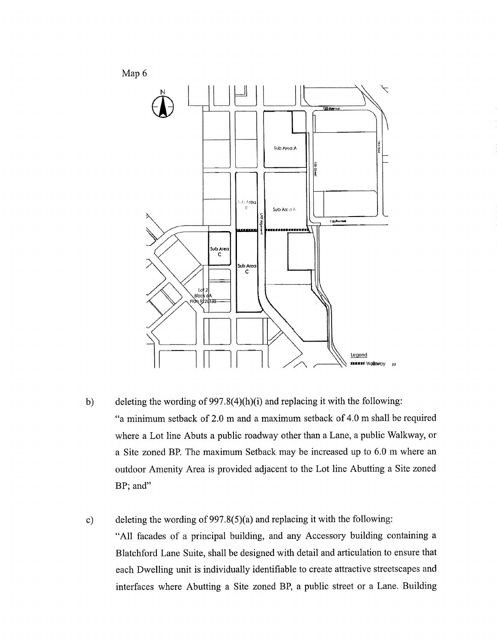

b) deleting the wording of 997.8(4)(h)(i) and replacing it with the following: "a minimum setback of 2.0 m and a maximum setback of 4.0 m shall be required where a Lot line Abuts a public roadway other than a Lane, a public Walkway, or a Site zoned BP. The maximum Setback may be increased up to 6.0 m where an outdoor Amenity Area is provided adjacent to the Lot line Abutting a Site zoned BP; and"

c) deleting the wording of 997.8(5)(a) and replacing it with the following: "All facades of a principal building, and any Accessory building containing a Blatchford Lane Suite, shall be designed with detail and articulation to ensure that each Dwelling unit is individually identifiable to create attractive streetscapes and interfaces where Abutting a Site zoned BP, a public street or a Lane. Building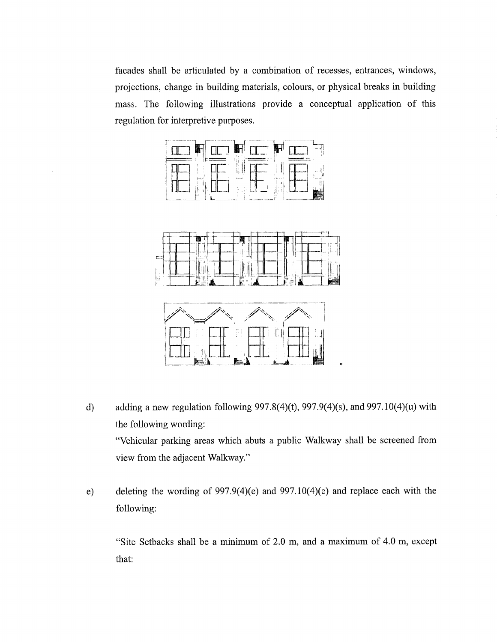facades shall be articulated by a combination of recesses, entrances, windows, projections, change in building materials, colours, or physical breaks in building mass. The following illustrations provide a conceptual application of this regulation for interpretive purposes.



- d) adding a new regulation following  $997.8(4)(t)$ ,  $997.9(4)(s)$ , and  $997.10(4)(u)$  with the following wording: "Vehicular parking areas which abuts a public Walkway shall be screened from view from the adjacent Walkway."
- e) deleting the wording of 997.9(4)(e) and 997.10(4)(e) and replace each with the following:

"Site Setbacks shall be a minimum of 2.0 m, and a maximum of 4.0 m, except that: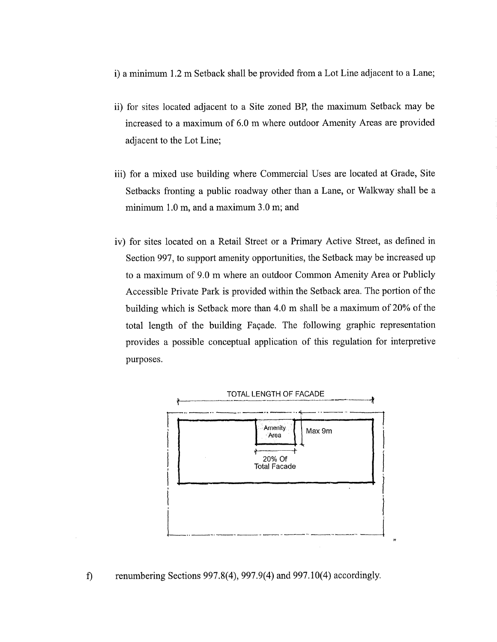i) a minimum 1.2 m Setback shall be provided from a Lot Line adjacent to a Lane;

- ii) for sites located adjacent to a Site zoned BP, the maximum Setback may be increased to a maximum of 6.0 m where outdoor Amenity Areas are provided adjacent to the Lot Line;
- iii) for a mixed use building where Commercial Uses are located at Grade, Site Setbacks fronting a public roadway other than a Lane, or Walkway shall be a minimum 1.0 m, and a maximum 3.0 m; and
- iv) for sites located on a Retail Street or a Primary Active Street, as defined in Section 997, to support amenity opportunities, the Setback may be increased up to a maximum of 9.0 m where an outdoor Common Amenity Area or Publicly Accessible Private Park is provided within the Setback area. The portion of the building which is Setback more than 4.0 m shall be a maximum of 20% of the total length of the building Façade. The following graphic representation provides a possible conceptual application of this regulation for interpretive purposes.



# f) renumbering Sections 997.8(4), 997.9(4) and 997.10(4) accordingly.